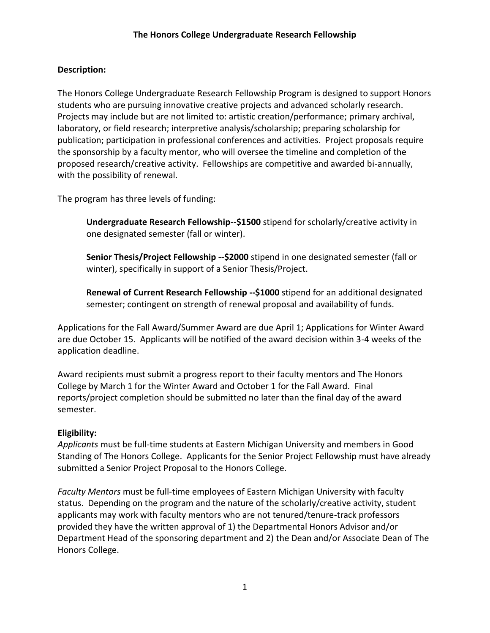## **Description:**

The Honors College Undergraduate Research Fellowship Program is designed to support Honors students who are pursuing innovative creative projects and advanced scholarly research. Projects may include but are not limited to: artistic creation/performance; primary archival, laboratory, or field research; interpretive analysis/scholarship; preparing scholarship for publication; participation in professional conferences and activities. Project proposals require the sponsorship by a faculty mentor, who will oversee the timeline and completion of the proposed research/creative activity. Fellowships are competitive and awarded bi-annually, with the possibility of renewal.

The program has three levels of funding:

**Undergraduate Research Fellowship--\$1500** stipend for scholarly/creative activity in one designated semester (fall or winter).

**Senior Thesis/Project Fellowship --\$2000** stipend in one designated semester (fall or winter), specifically in support of a Senior Thesis/Project.

**Renewal of Current Research Fellowship --\$1000** stipend for an additional designated semester; contingent on strength of renewal proposal and availability of funds.

Applications for the Fall Award/Summer Award are due April 1; Applications for Winter Award are due October 15. Applicants will be notified of the award decision within 3-4 weeks of the application deadline.

Award recipients must submit a progress report to their faculty mentors and The Honors College by March 1 for the Winter Award and October 1 for the Fall Award. Final reports/project completion should be submitted no later than the final day of the award semester.

## **Eligibility:**

*Applicants* must be full-time students at Eastern Michigan University and members in Good Standing of The Honors College. Applicants for the Senior Project Fellowship must have already submitted a Senior Project Proposal to the Honors College.

*Faculty Mentors* must be full-time employees of Eastern Michigan University with faculty status. Depending on the program and the nature of the scholarly/creative activity, student applicants may work with faculty mentors who are not tenured/tenure-track professors provided they have the written approval of 1) the Departmental Honors Advisor and/or Department Head of the sponsoring department and 2) the Dean and/or Associate Dean of The Honors College.